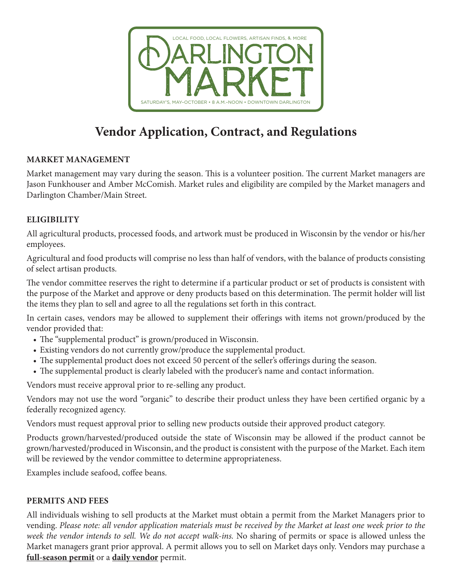

# **Vendor Application, Contract, and Regulations**

## **MARKET MANAGEMENT**

Market management may vary during the season. This is a volunteer position. The current Market managers are Jason Funkhouser and Amber McComish. Market rules and eligibility are compiled by the Market managers and Darlington Chamber/Main Street.

## **ELIGIBILITY**

All agricultural products, processed foods, and artwork must be produced in Wisconsin by the vendor or his/her employees.

Agricultural and food products will comprise no less than half of vendors, with the balance of products consisting of select artisan products.

The vendor committee reserves the right to determine if a particular product or set of products is consistent with the purpose of the Market and approve or deny products based on this determination. The permit holder will list the items they plan to sell and agree to all the regulations set forth in this contract.

In certain cases, vendors may be allowed to supplement their offerings with items not grown/produced by the vendor provided that:

- The "supplemental product" is grown/produced in Wisconsin.
- Existing vendors do not currently grow/produce the supplemental product.
- The supplemental product does not exceed 50 percent of the seller's offerings during the season.
- The supplemental product is clearly labeled with the producer's name and contact information.

Vendors must receive approval prior to re-selling any product.

Vendors may not use the word "organic" to describe their product unless they have been certified organic by a federally recognized agency.

Vendors must request approval prior to selling new products outside their approved product category.

Products grown/harvested/produced outside the state of Wisconsin may be allowed if the product cannot be grown/harvested/produced in Wisconsin, and the product is consistent with the purpose of the Market. Each item will be reviewed by the vendor committee to determine appropriateness.

Examples include seafood, coffee beans.

## **PERMITS AND FEES**

All individuals wishing to sell products at the Market must obtain a permit from the Market Managers prior to vending. *Please note: all vendor application materials must be received by the Market at least one week prior to the week the vendor intends to sell. We do not accept walk-ins.* No sharing of permits or space is allowed unless the Market managers grant prior approval. A permit allows you to sell on Market days only. Vendors may purchase a **full-season permit** or a **daily vendor** permit.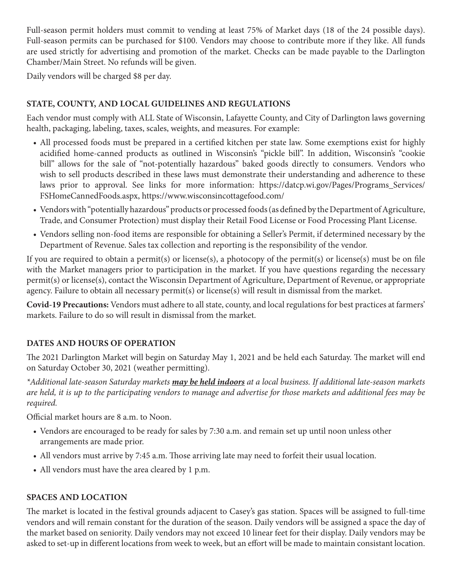Full-season permit holders must commit to vending at least 75% of Market days (18 of the 24 possible days). Full-season permits can be purchased for \$100. Vendors may choose to contribute more if they like. All funds are used strictly for advertising and promotion of the market. Checks can be made payable to the Darlington Chamber/Main Street. No refunds will be given.

Daily vendors will be charged \$8 per day.

## **STATE, COUNTY, AND LOCAL GUIDELINES AND REGULATIONS**

Each vendor must comply with ALL State of Wisconsin, Lafayette County, and City of Darlington laws governing health, packaging, labeling, taxes, scales, weights, and measures. For example:

- All processed foods must be prepared in a certified kitchen per state law. Some exemptions exist for highly acidified home-canned products as outlined in Wisconsin's "pickle bill". In addition, Wisconsin's "cookie bill" allows for the sale of "not-potentially hazardous" baked goods directly to consumers. Vendors who wish to sell products described in these laws must demonstrate their understanding and adherence to these laws prior to approval. See links for more information: https://datcp.wi.gov/Pages/Programs\_Services/ FSHomeCannedFoods.aspx, https://www.wisconsincottagefood.com/
- Vendors with "potentially hazardous" products or processed foods (as defined by the Department of Agriculture, Trade, and Consumer Protection) must display their Retail Food License or Food Processing Plant License.
- Vendors selling non-food items are responsible for obtaining a Seller's Permit, if determined necessary by the Department of Revenue. Sales tax collection and reporting is the responsibility of the vendor.

If you are required to obtain a permit(s) or license(s), a photocopy of the permit(s) or license(s) must be on file with the Market managers prior to participation in the market. If you have questions regarding the necessary permit(s) or license(s), contact the Wisconsin Department of Agriculture, Department of Revenue, or appropriate agency. Failure to obtain all necessary permit(s) or license(s) will result in dismissal from the market.

**Covid-19 Precautions:** Vendors must adhere to all state, county, and local regulations for best practices at farmers' markets. Failure to do so will result in dismissal from the market.

## **DATES AND HOURS OF OPERATION**

The 2021 Darlington Market will begin on Saturday May 1, 2021 and be held each Saturday. The market will end on Saturday October 30, 2021 (weather permitting).

*\*Additional late-season Saturday markets may be held indoors at a local business. If additional late-season markets are held, it is up to the participating vendors to manage and advertise for those markets and additional fees may be required.* 

Official market hours are 8 a.m. to Noon.

- Vendors are encouraged to be ready for sales by 7:30 a.m. and remain set up until noon unless other arrangements are made prior.
- All vendors must arrive by 7:45 a.m. Those arriving late may need to forfeit their usual location.
- All vendors must have the area cleared by 1 p.m.

## **SPACES AND LOCATION**

The market is located in the festival grounds adjacent to Casey's gas station. Spaces will be assigned to full-time vendors and will remain constant for the duration of the season. Daily vendors will be assigned a space the day of the market based on seniority. Daily vendors may not exceed 10 linear feet for their display. Daily vendors may be asked to set-up in different locations from week to week, but an effort will be made to maintain consistant location.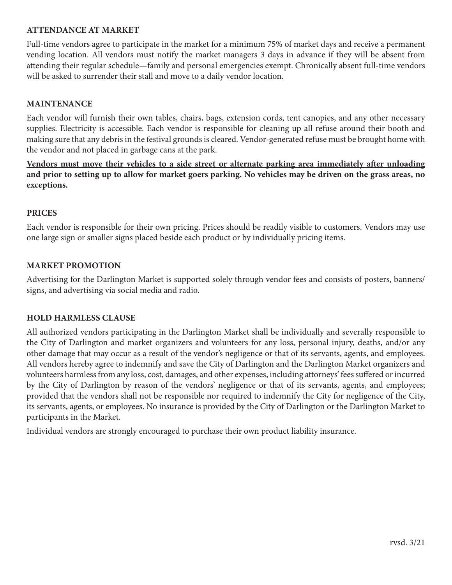#### **ATTENDANCE AT MARKET**

Full-time vendors agree to participate in the market for a minimum 75% of market days and receive a permanent vending location. All vendors must notify the market managers 3 days in advance if they will be absent from attending their regular schedule—family and personal emergencies exempt. Chronically absent full-time vendors will be asked to surrender their stall and move to a daily vendor location.

#### **MAINTENANCE**

Each vendor will furnish their own tables, chairs, bags, extension cords, tent canopies, and any other necessary supplies. Electricity is accessible. Each vendor is responsible for cleaning up all refuse around their booth and making sure that any debris in the festival grounds is cleared. Vendor-generated refuse must be brought home with the vendor and not placed in garbage cans at the park.

**Vendors must move their vehicles to a side street or alternate parking area immediately after unloading and prior to setting up to allow for market goers parking. No vehicles may be driven on the grass areas, no exceptions.**

#### **PRICES**

Each vendor is responsible for their own pricing. Prices should be readily visible to customers. Vendors may use one large sign or smaller signs placed beside each product or by individually pricing items.

#### **MARKET PROMOTION**

Advertising for the Darlington Market is supported solely through vendor fees and consists of posters, banners/ signs, and advertising via social media and radio.

#### **HOLD HARMLESS CLAUSE**

All authorized vendors participating in the Darlington Market shall be individually and severally responsible to the City of Darlington and market organizers and volunteers for any loss, personal injury, deaths, and/or any other damage that may occur as a result of the vendor's negligence or that of its servants, agents, and employees. All vendors hereby agree to indemnify and save the City of Darlington and the Darlington Market organizers and volunteers harmless from any loss, cost, damages, and other expenses, including attorneys' fees suffered or incurred by the City of Darlington by reason of the vendors' negligence or that of its servants, agents, and employees; provided that the vendors shall not be responsible nor required to indemnify the City for negligence of the City, its servants, agents, or employees. No insurance is provided by the City of Darlington or the Darlington Market to participants in the Market.

Individual vendors are strongly encouraged to purchase their own product liability insurance.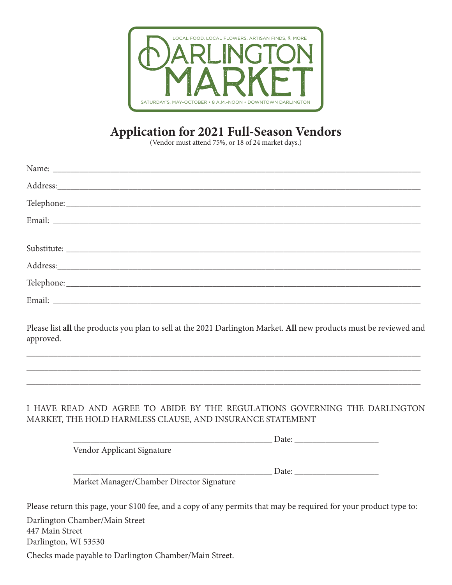

## **Application for 2021 Full-Season Vendors**

(Vendor must attend 75%, or 18 of 24 market days.)

Please list **all** the products you plan to sell at the 2021 Darlington Market. **All** new products must be reviewed and approved.

\_\_\_\_\_\_\_\_\_\_\_\_\_\_\_\_\_\_\_\_\_\_\_\_\_\_\_\_\_\_\_\_\_\_\_\_\_\_\_\_\_\_\_\_\_\_\_\_\_\_\_\_\_\_\_\_\_\_\_\_\_\_\_\_\_\_\_\_\_\_\_\_\_\_\_\_\_\_\_\_\_\_\_\_\_\_\_\_\_ \_\_\_\_\_\_\_\_\_\_\_\_\_\_\_\_\_\_\_\_\_\_\_\_\_\_\_\_\_\_\_\_\_\_\_\_\_\_\_\_\_\_\_\_\_\_\_\_\_\_\_\_\_\_\_\_\_\_\_\_\_\_\_\_\_\_\_\_\_\_\_\_\_\_\_\_\_\_\_\_\_\_\_\_\_\_\_\_\_ \_\_\_\_\_\_\_\_\_\_\_\_\_\_\_\_\_\_\_\_\_\_\_\_\_\_\_\_\_\_\_\_\_\_\_\_\_\_\_\_\_\_\_\_\_\_\_\_\_\_\_\_\_\_\_\_\_\_\_\_\_\_\_\_\_\_\_\_\_\_\_\_\_\_\_\_\_\_\_\_\_\_\_\_\_\_\_\_\_

## I HAVE READ AND AGREE TO ABIDE BY THE REGULATIONS GOVERNING THE DARLINGTON MARKET, THE HOLD HARMLESS CLAUSE, AND INSURANCE STATEMENT

|                                           | Date: |  |
|-------------------------------------------|-------|--|
| Vendor Applicant Signature                |       |  |
|                                           |       |  |
|                                           | Date: |  |
| Market Manager/Chamber Director Signature |       |  |

Please return this page, your \$100 fee, and a copy of any permits that may be required for your product type to:

Darlington Chamber/Main Street 447 Main Street

Darlington, WI 53530

Checks made payable to Darlington Chamber/Main Street.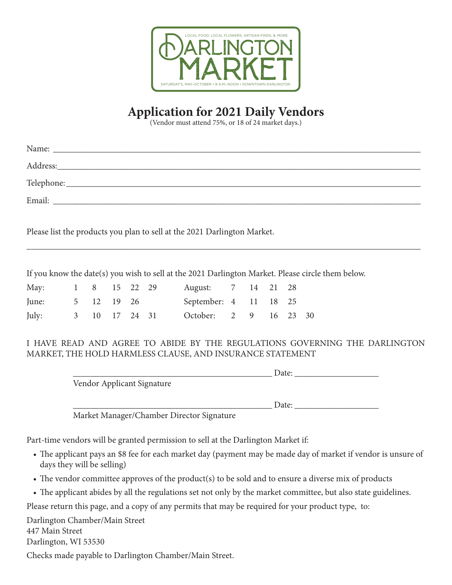

## **Application for 2021 Daily Vendors**

(Vendor must attend 75%, or 18 of 24 market days.)

|                   |  |  | Name: Name: Name: Name: Name: Name: Name: Name: Name: Name: Name: Name: Name: Name: Name: Name: Name: Name: Name: Name: Name: Name: Name: Name: Name: Name: Name: Name: Name: Name: Name: Name: Name: Name: Name: Name: Name: |  |  |                                                                                                   |
|-------------------|--|--|-------------------------------------------------------------------------------------------------------------------------------------------------------------------------------------------------------------------------------|--|--|---------------------------------------------------------------------------------------------------|
|                   |  |  |                                                                                                                                                                                                                               |  |  |                                                                                                   |
|                   |  |  |                                                                                                                                                                                                                               |  |  |                                                                                                   |
|                   |  |  |                                                                                                                                                                                                                               |  |  |                                                                                                   |
|                   |  |  |                                                                                                                                                                                                                               |  |  |                                                                                                   |
|                   |  |  | Please list the products you plan to sell at the 2021 Darlington Market.                                                                                                                                                      |  |  |                                                                                                   |
|                   |  |  |                                                                                                                                                                                                                               |  |  |                                                                                                   |
|                   |  |  |                                                                                                                                                                                                                               |  |  |                                                                                                   |
|                   |  |  |                                                                                                                                                                                                                               |  |  | If you know the date(s) you wish to sell at the 2021 Darlington Market. Please circle them below. |
| May: 1 8 15 22 29 |  |  | August: 7 14 21 28                                                                                                                                                                                                            |  |  |                                                                                                   |
|                   |  |  | June: 5 12 19 26 September: 4 11 18 25                                                                                                                                                                                        |  |  |                                                                                                   |
|                   |  |  | July: 3 10 17 24 31 October: 2 9 16 23 30                                                                                                                                                                                     |  |  |                                                                                                   |

### I HAVE READ AND AGREE TO ABIDE BY THE REGULATIONS GOVERNING THE DARLINGTON MARKET, THE HOLD HARMLESS CLAUSE, AND INSURANCE STATEMENT

|                            | Date: |
|----------------------------|-------|
| Vendor Applicant Signature |       |
|                            |       |
|                            | Date: |
| _ _ _<br>$\sim$            |       |

Market Manager/Chamber Director Signature

Part-time vendors will be granted permission to sell at the Darlington Market if:

- The applicant pays an \$8 fee for each market day (payment may be made day of market if vendor is unsure of days they will be selling)
- The vendor committee approves of the product(s) to be sold and to ensure a diverse mix of products
- The applicant abides by all the regulations set not only by the market committee, but also state guidelines.

Please return this page, and a copy of any permits that may be required for your product type, to:

Darlington Chamber/Main Street

447 Main Street

Darlington, WI 53530

Checks made payable to Darlington Chamber/Main Street.